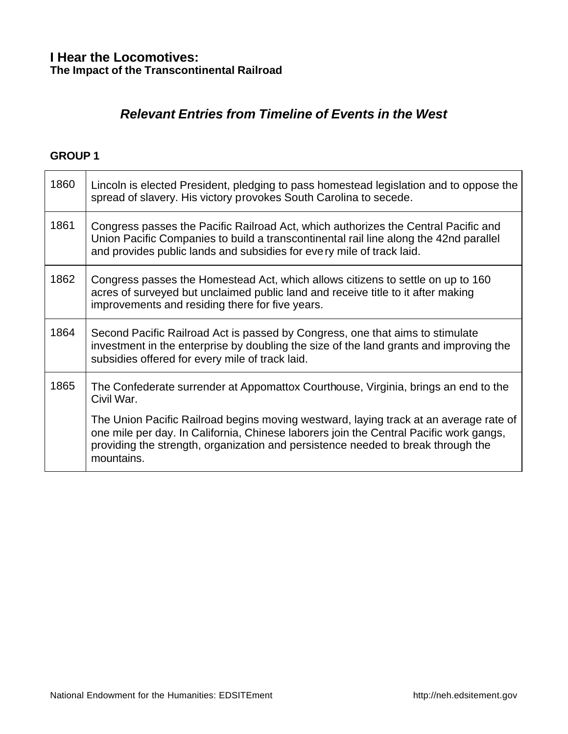## *Relevant Entries from Timeline of Events in the West*

| 1860 | Lincoln is elected President, pledging to pass homestead legislation and to oppose the<br>spread of slavery. His victory provokes South Carolina to secede.                                                                                                                       |
|------|-----------------------------------------------------------------------------------------------------------------------------------------------------------------------------------------------------------------------------------------------------------------------------------|
| 1861 | Congress passes the Pacific Railroad Act, which authorizes the Central Pacific and<br>Union Pacific Companies to build a transcontinental rail line along the 42nd parallel<br>and provides public lands and subsidies for every mile of track laid.                              |
| 1862 | Congress passes the Homestead Act, which allows citizens to settle on up to 160<br>acres of surveyed but unclaimed public land and receive title to it after making<br>improvements and residing there for five years.                                                            |
| 1864 | Second Pacific Railroad Act is passed by Congress, one that aims to stimulate<br>investment in the enterprise by doubling the size of the land grants and improving the<br>subsidies offered for every mile of track laid.                                                        |
| 1865 | The Confederate surrender at Appomattox Courthouse, Virginia, brings an end to the<br>Civil War.                                                                                                                                                                                  |
|      | The Union Pacific Railroad begins moving westward, laying track at an average rate of<br>one mile per day. In California, Chinese laborers join the Central Pacific work gangs,<br>providing the strength, organization and persistence needed to break through the<br>mountains. |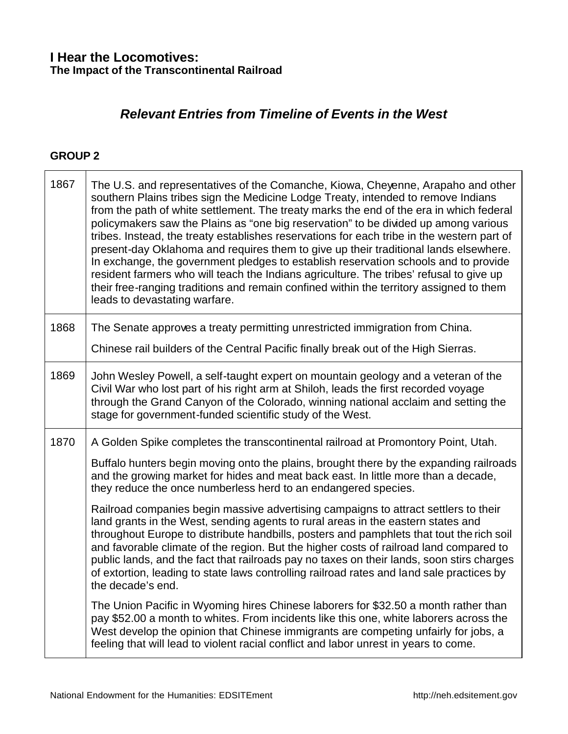# *Relevant Entries from Timeline of Events in the West*

<u> 1980 - Johann Stoff, Amerikaansk politiker († 1908)</u>

### **GROUP 2**

| 1867 | The U.S. and representatives of the Comanche, Kiowa, Cheyenne, Arapaho and other<br>southern Plains tribes sign the Medicine Lodge Treaty, intended to remove Indians<br>from the path of white settlement. The treaty marks the end of the era in which federal<br>policymakers saw the Plains as "one big reservation" to be divided up among various<br>tribes. Instead, the treaty establishes reservations for each tribe in the western part of<br>present-day Oklahoma and requires them to give up their traditional lands elsewhere.<br>In exchange, the government pledges to establish reservation schools and to provide<br>resident farmers who will teach the Indians agriculture. The tribes' refusal to give up<br>their free-ranging traditions and remain confined within the territory assigned to them<br>leads to devastating warfare. |
|------|-------------------------------------------------------------------------------------------------------------------------------------------------------------------------------------------------------------------------------------------------------------------------------------------------------------------------------------------------------------------------------------------------------------------------------------------------------------------------------------------------------------------------------------------------------------------------------------------------------------------------------------------------------------------------------------------------------------------------------------------------------------------------------------------------------------------------------------------------------------|
| 1868 | The Senate approves a treaty permitting unrestricted immigration from China.                                                                                                                                                                                                                                                                                                                                                                                                                                                                                                                                                                                                                                                                                                                                                                                |
|      | Chinese rail builders of the Central Pacific finally break out of the High Sierras.                                                                                                                                                                                                                                                                                                                                                                                                                                                                                                                                                                                                                                                                                                                                                                         |
| 1869 | John Wesley Powell, a self-taught expert on mountain geology and a veteran of the<br>Civil War who lost part of his right arm at Shiloh, leads the first recorded voyage<br>through the Grand Canyon of the Colorado, winning national acclaim and setting the<br>stage for government-funded scientific study of the West.                                                                                                                                                                                                                                                                                                                                                                                                                                                                                                                                 |
| 1870 | A Golden Spike completes the transcontinental railroad at Promontory Point, Utah.                                                                                                                                                                                                                                                                                                                                                                                                                                                                                                                                                                                                                                                                                                                                                                           |
|      | Buffalo hunters begin moving onto the plains, brought there by the expanding railroads<br>and the growing market for hides and meat back east. In little more than a decade,<br>they reduce the once numberless herd to an endangered species.                                                                                                                                                                                                                                                                                                                                                                                                                                                                                                                                                                                                              |
|      | Railroad companies begin massive advertising campaigns to attract settlers to their<br>land grants in the West, sending agents to rural areas in the eastern states and<br>throughout Europe to distribute handbills, posters and pamphlets that tout the rich soil<br>and favorable climate of the region. But the higher costs of railroad land compared to<br>public lands, and the fact that railroads pay no taxes on their lands, soon stirs charges<br>of extortion, leading to state laws controlling railroad rates and land sale practices by<br>the decade's end.                                                                                                                                                                                                                                                                                |
|      | The Union Pacific in Wyoming hires Chinese laborers for \$32.50 a month rather than<br>pay \$52.00 a month to whites. From incidents like this one, white laborers across the<br>West develop the opinion that Chinese immigrants are competing unfairly for jobs, a<br>feeling that will lead to violent racial conflict and labor unrest in years to come.                                                                                                                                                                                                                                                                                                                                                                                                                                                                                                |

٦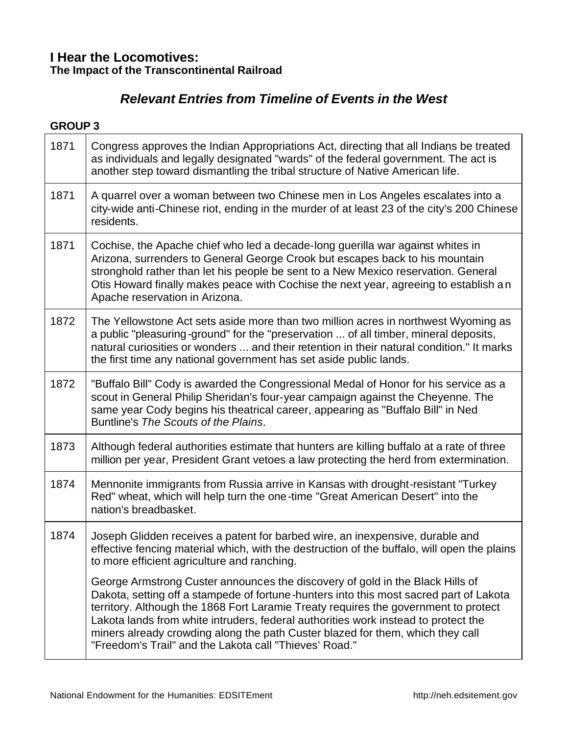# *Relevant Entries from Timeline of Events in the West*

| 1871 | Congress approves the Indian Appropriations Act, directing that all Indians be treated<br>as individuals and legally designated "wards" of the federal government. The act is<br>another step toward dismantling the tribal structure of Native American life.                                                                                                                                                                                                                                   |
|------|--------------------------------------------------------------------------------------------------------------------------------------------------------------------------------------------------------------------------------------------------------------------------------------------------------------------------------------------------------------------------------------------------------------------------------------------------------------------------------------------------|
| 1871 | A quarrel over a woman between two Chinese men in Los Angeles escalates into a<br>city-wide anti-Chinese riot, ending in the murder of at least 23 of the city's 200 Chinese<br>residents.                                                                                                                                                                                                                                                                                                       |
| 1871 | Cochise, the Apache chief who led a decade-long guerilla war against whites in<br>Arizona, surrenders to General George Crook but escapes back to his mountain<br>stronghold rather than let his people be sent to a New Mexico reservation. General<br>Otis Howard finally makes peace with Cochise the next year, agreeing to establish an<br>Apache reservation in Arizona.                                                                                                                   |
| 1872 | The Yellowstone Act sets aside more than two million acres in northwest Wyoming as<br>a public "pleasuring-ground" for the "preservation  of all timber, mineral deposits,<br>natural curiosities or wonders  and their retention in their natural condition." It marks<br>the first time any national government has set aside public lands.                                                                                                                                                    |
| 1872 | "Buffalo Bill" Cody is awarded the Congressional Medal of Honor for his service as a<br>scout in General Philip Sheridan's four-year campaign against the Cheyenne. The<br>same year Cody begins his theatrical career, appearing as "Buffalo Bill" in Ned<br>Buntline's The Scouts of the Plains.                                                                                                                                                                                               |
| 1873 | Although federal authorities estimate that hunters are killing buffalo at a rate of three<br>million per year, President Grant vetoes a law protecting the herd from extermination.                                                                                                                                                                                                                                                                                                              |
| 1874 | Mennonite immigrants from Russia arrive in Kansas with drought-resistant "Turkey<br>Red" wheat, which will help turn the one-time "Great American Desert" into the<br>nation's breadbasket.                                                                                                                                                                                                                                                                                                      |
| 1874 | Joseph Glidden receives a patent for barbed wire, an inexpensive, durable and<br>effective fencing material which, with the destruction of the buffalo, will open the plains<br>to more efficient agriculture and ranching.                                                                                                                                                                                                                                                                      |
|      | George Armstrong Custer announces the discovery of gold in the Black Hills of<br>Dakota, setting off a stampede of fortune-hunters into this most sacred part of Lakota<br>territory. Although the 1868 Fort Laramie Treaty requires the government to protect<br>Lakota lands from white intruders, federal authorities work instead to protect the<br>miners already crowding along the path Custer blazed for them, which they call<br>"Freedom's Trail" and the Lakota call "Thieves' Road." |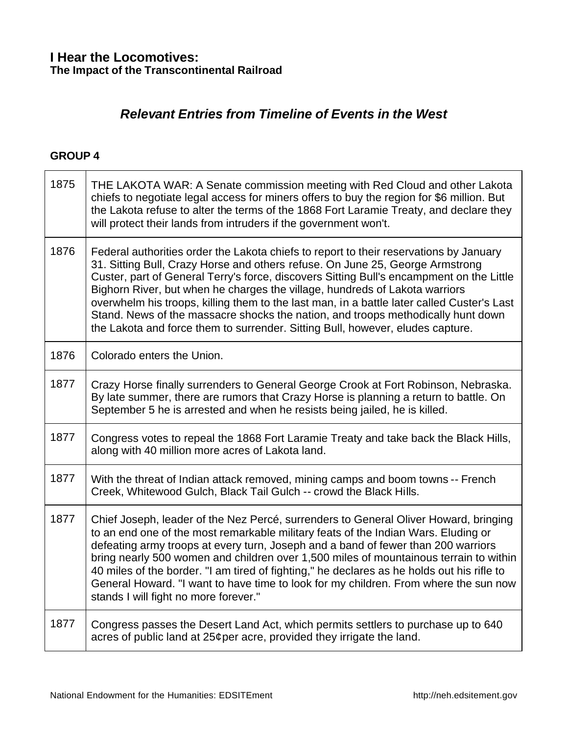# *Relevant Entries from Timeline of Events in the West*

| 1875 | THE LAKOTA WAR: A Senate commission meeting with Red Cloud and other Lakota<br>chiefs to negotiate legal access for miners offers to buy the region for \$6 million. But<br>the Lakota refuse to alter the terms of the 1868 Fort Laramie Treaty, and declare they<br>will protect their lands from intruders if the government won't.                                                                                                                                                                                                                                                                                 |
|------|------------------------------------------------------------------------------------------------------------------------------------------------------------------------------------------------------------------------------------------------------------------------------------------------------------------------------------------------------------------------------------------------------------------------------------------------------------------------------------------------------------------------------------------------------------------------------------------------------------------------|
| 1876 | Federal authorities order the Lakota chiefs to report to their reservations by January<br>31. Sitting Bull, Crazy Horse and others refuse. On June 25, George Armstrong<br>Custer, part of General Terry's force, discovers Sitting Bull's encampment on the Little<br>Bighorn River, but when he charges the village, hundreds of Lakota warriors<br>overwhelm his troops, killing them to the last man, in a battle later called Custer's Last<br>Stand. News of the massacre shocks the nation, and troops methodically hunt down<br>the Lakota and force them to surrender. Sitting Bull, however, eludes capture. |
| 1876 | Colorado enters the Union.                                                                                                                                                                                                                                                                                                                                                                                                                                                                                                                                                                                             |
| 1877 | Crazy Horse finally surrenders to General George Crook at Fort Robinson, Nebraska.<br>By late summer, there are rumors that Crazy Horse is planning a return to battle. On<br>September 5 he is arrested and when he resists being jailed, he is killed.                                                                                                                                                                                                                                                                                                                                                               |
| 1877 | Congress votes to repeal the 1868 Fort Laramie Treaty and take back the Black Hills,<br>along with 40 million more acres of Lakota land.                                                                                                                                                                                                                                                                                                                                                                                                                                                                               |
| 1877 | With the threat of Indian attack removed, mining camps and boom towns -- French<br>Creek, Whitewood Gulch, Black Tail Gulch -- crowd the Black Hills.                                                                                                                                                                                                                                                                                                                                                                                                                                                                  |
| 1877 | Chief Joseph, leader of the Nez Percé, surrenders to General Oliver Howard, bringing<br>to an end one of the most remarkable military feats of the Indian Wars. Eluding or<br>defeating army troops at every turn, Joseph and a band of fewer than 200 warriors<br>bring nearly 500 women and children over 1,500 miles of mountainous terrain to within<br>40 miles of the border. "I am tired of fighting," he declares as he holds out his rifle to<br>General Howard. "I want to have time to look for my children. From where the sun now<br>stands I will fight no more forever."                                |
| 1877 | Congress passes the Desert Land Act, which permits settlers to purchase up to 640<br>acres of public land at 25¢per acre, provided they irrigate the land.                                                                                                                                                                                                                                                                                                                                                                                                                                                             |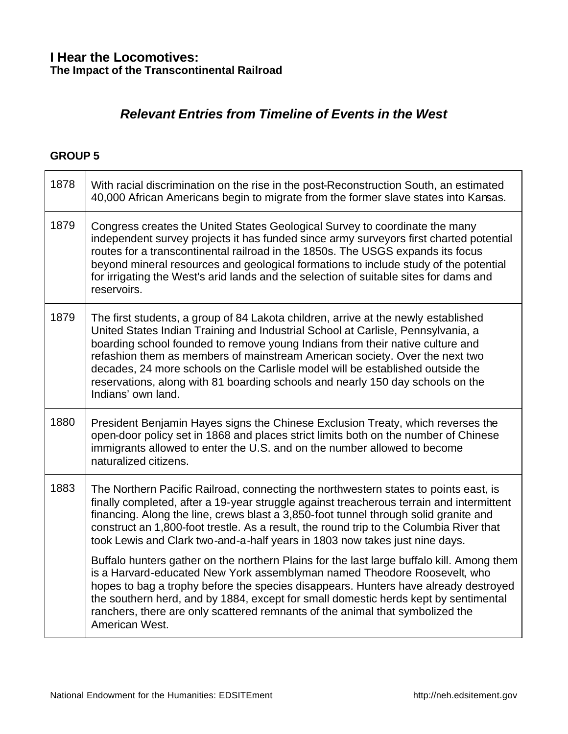# *Relevant Entries from Timeline of Events in the West*

| 1878 | With racial discrimination on the rise in the post-Reconstruction South, an estimated<br>40,000 African Americans begin to migrate from the former slave states into Kansas.                                                                                                                                                                                                                                                                                                                                                     |
|------|----------------------------------------------------------------------------------------------------------------------------------------------------------------------------------------------------------------------------------------------------------------------------------------------------------------------------------------------------------------------------------------------------------------------------------------------------------------------------------------------------------------------------------|
| 1879 | Congress creates the United States Geological Survey to coordinate the many<br>independent survey projects it has funded since army surveyors first charted potential<br>routes for a transcontinental railroad in the 1850s. The USGS expands its focus<br>beyond mineral resources and geological formations to include study of the potential<br>for irrigating the West's arid lands and the selection of suitable sites for dams and<br>reservoirs.                                                                         |
| 1879 | The first students, a group of 84 Lakota children, arrive at the newly established<br>United States Indian Training and Industrial School at Carlisle, Pennsylvania, a<br>boarding school founded to remove young Indians from their native culture and<br>refashion them as members of mainstream American society. Over the next two<br>decades, 24 more schools on the Carlisle model will be established outside the<br>reservations, along with 81 boarding schools and nearly 150 day schools on the<br>Indians' own land. |
| 1880 | President Benjamin Hayes signs the Chinese Exclusion Treaty, which reverses the<br>open-door policy set in 1868 and places strict limits both on the number of Chinese<br>immigrants allowed to enter the U.S. and on the number allowed to become<br>naturalized citizens.                                                                                                                                                                                                                                                      |
| 1883 | The Northern Pacific Railroad, connecting the northwestern states to points east, is<br>finally completed, after a 19-year struggle against treacherous terrain and intermittent<br>financing. Along the line, crews blast a 3,850-foot tunnel through solid granite and<br>construct an 1,800-foot trestle. As a result, the round trip to the Columbia River that<br>took Lewis and Clark two-and-a-half years in 1803 now takes just nine days.                                                                               |
|      | Buffalo hunters gather on the northern Plains for the last large buffalo kill. Among them<br>is a Harvard-educated New York assemblyman named Theodore Roosevelt, who<br>hopes to bag a trophy before the species disappears. Hunters have already destroyed<br>the southern herd, and by 1884, except for small domestic herds kept by sentimental<br>ranchers, there are only scattered remnants of the animal that symbolized the<br>American West.                                                                           |